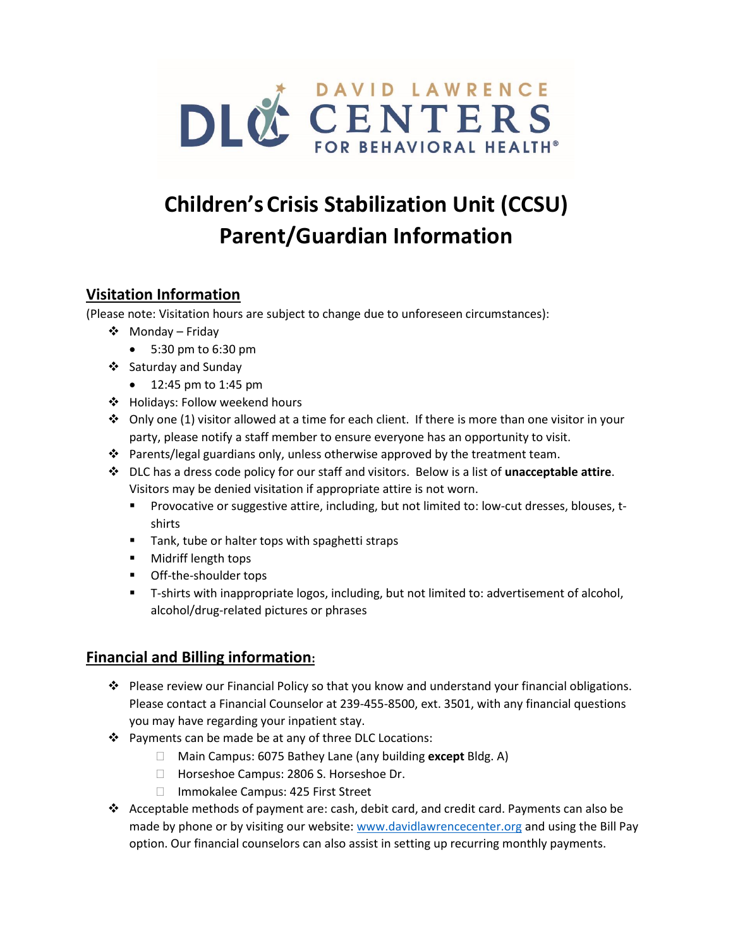

# **Children'sCrisis Stabilization Unit (CCSU) Parent/Guardian Information**

## **Visitation Information**

(Please note: Visitation hours are subject to change due to unforeseen circumstances):

- ❖ Monday Friday
	- 5:30 pm to 6:30 pm
- ❖ Saturday and Sunday
	- 12:45 pm to 1:45 pm
- ❖ Holidays: Follow weekend hours
- ◆ Only one (1) visitor allowed at a time for each client. If there is more than one visitor in your party, please notify a staff member to ensure everyone has an opportunity to visit.
- ❖ Parents/legal guardians only, unless otherwise approved by the treatment team.
- ❖ DLC has a dress code policy for our staff and visitors. Below is a list of **unacceptable attire**. Visitors may be denied visitation if appropriate attire is not worn.
	- Provocative or suggestive attire, including, but not limited to: low-cut dresses, blouses, tshirts
	- Tank, tube or halter tops with spaghetti straps
	- Midriff length tops
	- Off-the-shoulder tops
	- T-shirts with inappropriate logos, including, but not limited to: advertisement of alcohol, alcohol/drug-related pictures or phrases

## **Financial and Billing information:**

- ❖ Please review our Financial Policy so that you know and understand your financial obligations. Please contact a Financial Counselor at 239-455-8500, ext. 3501, with any financial questions you may have regarding your inpatient stay.
- ❖ Payments can be made be at any of three DLC Locations:
	- Main Campus: 6075 Bathey Lane (any building **except** Bldg. A)
	- □ Horseshoe Campus: 2806 S. Horseshoe Dr.
	- □ Immokalee Campus: 425 First Street
- ❖ Acceptable methods of payment are: cash, debit card, and credit card. Payments can also be made by phone or by visiting our website: [www.davidlawrencecenter.org](http://www.davidlawrencecenter.org/) and using the Bill Pay option. Our financial counselors can also assist in setting up recurring monthly payments.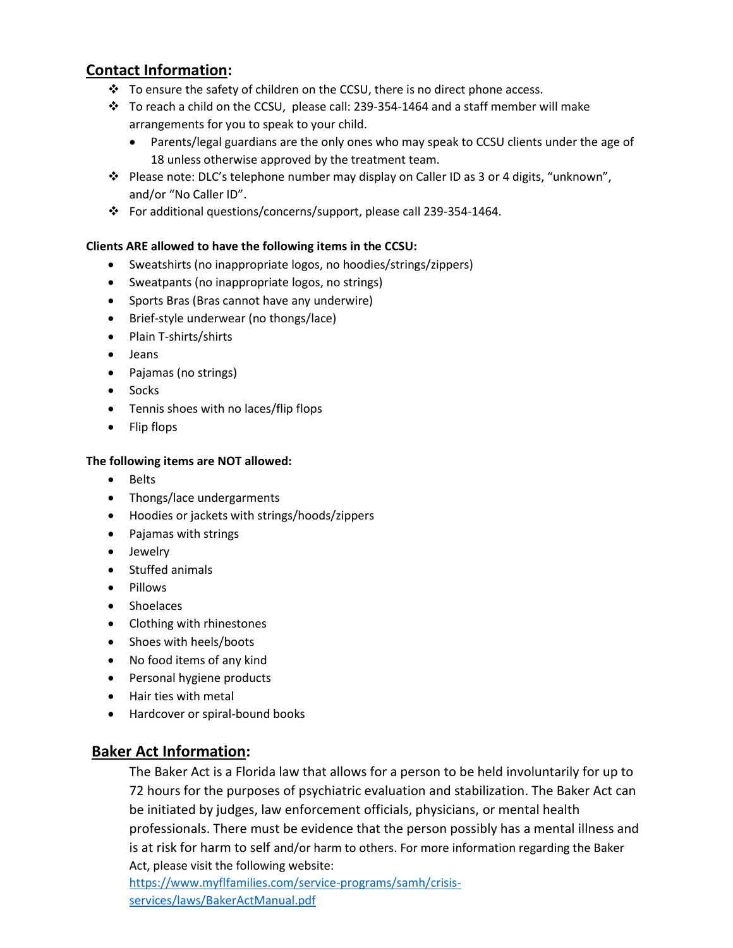## **Contact Information:**

- ❖ To ensure the safety of children on the CCSU, there is no direct phone access.
- ❖ To reach a child on the CCSU, please call: 239-354-1464 and a staff member will make arrangements for you to speak to your child.
	- Parents/legal guardians are the only ones who may speak to CCSU clients under the age of 18 unless otherwise approved by the treatment team.
- ❖ Please note: DLC's telephone number may display on Caller ID as 3 or 4 digits, "unknown", and/or "No Caller ID".
- ❖ For additional questions/concerns/support, please call 239-354-1464.

#### **Clients ARE allowed to have the following items in the CCSU:**

- Sweatshirts (no inappropriate logos, no hoodies/strings/zippers)
- Sweatpants (no inappropriate logos, no strings)
- Sports Bras (Bras cannot have any underwire)
- Brief-style underwear (no thongs/lace)
- Plain T-shirts/shirts
- Jeans
- Pajamas (no strings)
- Socks
- Tennis shoes with no laces/flip flops
- Flip flops

#### **The following items are NOT allowed:**

- Belts
- Thongs/lace undergarments
- Hoodies or jackets with strings/hoods/zippers
- Pajamas with strings
- Jewelry
- Stuffed animals
- Pillows
- Shoelaces
- Clothing with rhinestones
- Shoes with heels/boots
- No food items of any kind
- Personal hygiene products
- Hair ties with metal
- Hardcover or spiral-bound books

### **Baker Act Information:**

The Baker Act is a Florida law that allows for a person to be held involuntarily for up to 72 hours for the purposes of psychiatric evaluation and stabilization. The Baker Act can be initiated by judges, law enforcement officials, physicians, or mental health professionals. There must be evidence that the person possibly has a mental illness and is at risk for harm to self and/or harm to others. For more information regarding the Baker Act, please visit the following website:

[https://www.myflfamilies.com/service-programs/samh/crisis](https://www.myflfamilies.com/service-programs/samh/crisis-services/laws/BakerActManual.pdf)[services/laws/BakerActManual.pdf](https://www.myflfamilies.com/service-programs/samh/crisis-services/laws/BakerActManual.pdf)